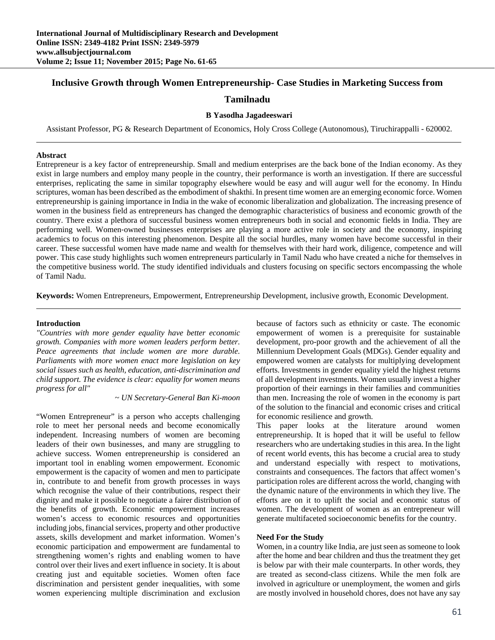# **Inclusive Growth through Women Entrepreneurship- Case Studies in Marketing Success from**

## **Tamilnadu**

## **B Yasodha Jagadeeswari**

Assistant Professor, PG & Research Department of Economics, Holy Cross College (Autonomous), Tiruchirappalli - 620002.

#### **Abstract**

Entrepreneur is a key factor of entrepreneurship. Small and medium enterprises are the back bone of the Indian economy. As they exist in large numbers and employ many people in the country, their performance is worth an investigation. If there are successful enterprises, replicating the same in similar topography elsewhere would be easy and will augur well for the economy. In Hindu scriptures, woman has been described as the embodiment of shakthi. In present time women are an emerging economic force. Women entrepreneurship is gaining importance in India in the wake of economic liberalization and globalization. The increasing presence of women in the business field as entrepreneurs has changed the demographic characteristics of business and economic growth of the country. There exist a plethora of successful business women entrepreneurs both in social and economic fields in India. They are performing well. Women-owned businesses enterprises are playing a more active role in society and the economy, inspiring academics to focus on this interesting phenomenon. Despite all the social hurdles, many women have become successful in their career. These successful women have made name and wealth for themselves with their hard work, diligence, competence and will power. This case study highlights such women entrepreneurs particularly in Tamil Nadu who have created a niche for themselves in the competitive business world. The study identified individuals and clusters focusing on specific sectors encompassing the whole of Tamil Nadu.

**Keywords:** Women Entrepreneurs, Empowerment, Entrepreneurship Development, inclusive growth, Economic Development.

#### **Introduction**

*"Countries with more gender equality have better economic growth. Companies with more women leaders perform better. Peace agreements that include women are more durable. Parliaments with more women enact more legislation on key social issues such as health, education, anti-discrimination and child support. The evidence is clear: equality for women means progress for all"* 

 *~ UN Secretary-General Ban Ki-moon* 

"Women Entrepreneur" is a person who accepts challenging role to meet her personal needs and become economically independent. Increasing numbers of women are becoming leaders of their own businesses, and many are struggling to achieve success. Women entrepreneurship is considered an important tool in enabling women empowerment. Economic empowerment is the capacity of women and men to participate in, contribute to and benefit from growth processes in ways which recognise the value of their contributions, respect their dignity and make it possible to negotiate a fairer distribution of the benefits of growth. Economic empowerment increases women's access to economic resources and opportunities including jobs, financial services, property and other productive assets, skills development and market information. Women's economic participation and empowerment are fundamental to strengthening women's rights and enabling women to have control over their lives and exert influence in society. It is about creating just and equitable societies. Women often face discrimination and persistent gender inequalities, with some women experiencing multiple discrimination and exclusion

because of factors such as ethnicity or caste. The economic empowerment of women is a prerequisite for sustainable development, pro-poor growth and the achievement of all the Millennium Development Goals (MDGs). Gender equality and empowered women are catalysts for multiplying development efforts. Investments in gender equality yield the highest returns of all development investments. Women usually invest a higher proportion of their earnings in their families and communities than men. Increasing the role of women in the economy is part of the solution to the financial and economic crises and critical for economic resilience and growth.

This paper looks at the literature around women entrepreneurship. It is hoped that it will be useful to fellow researchers who are undertaking studies in this area. In the light of recent world events, this has become a crucial area to study and understand especially with respect to motivations, constraints and consequences. The factors that affect women's participation roles are different across the world, changing with the dynamic nature of the environments in which they live. The efforts are on it to uplift the social and economic status of women. The development of women as an entrepreneur will generate multifaceted socioeconomic benefits for the country.

#### **Need For the Study**

Women, in a country like India, are just seen as someone to look after the home and bear children and thus the treatment they get is below par with their male counterparts. In other words, they are treated as second-class citizens. While the men folk are involved in agriculture or unemployment, the women and girls are mostly involved in household chores, does not have any say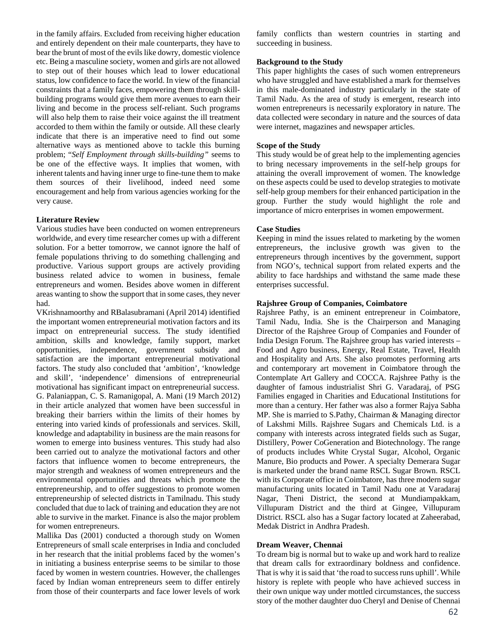in the family affairs. Excluded from receiving higher education and entirely dependent on their male counterparts, they have to bear the brunt of most of the evils like dowry, domestic violence etc. Being a masculine society, women and girls are not allowed to step out of their houses which lead to lower educational status, low confidence to face the world. In view of the financial constraints that a family faces, empowering them through skillbuilding programs would give them more avenues to earn their living and become in the process self-reliant. Such programs will also help them to raise their voice against the ill treatment accorded to them within the family or outside. All these clearly indicate that there is an imperative need to find out some alternative ways as mentioned above to tackle this burning problem; "*Self Employment through skills-building"* seems to be one of the effective ways. It implies that women, with inherent talents and having inner urge to fine-tune them to make them sources of their livelihood, indeed need some encouragement and help from various agencies working for the very cause.

## **Literature Review**

Various studies have been conducted on women entrepreneurs worldwide, and every time researcher comes up with a different solution. For a better tomorrow, we cannot ignore the half of female populations thriving to do something challenging and productive. Various support groups are actively providing business related advice to women in business, female entrepreneurs and women. Besides above women in different areas wanting to show the support that in some cases, they never had.

VKrishnamoorthy and RBalasubramani (April 2014) identified the important women entrepreneurial motivation factors and its impact on entrepreneurial success. The study identified ambition, skills and knowledge, family support, market opportunities, independence, government subsidy and satisfaction are the important entrepreneurial motivational factors. The study also concluded that 'ambition', 'knowledge and skill', 'independence' dimensions of entrepreneurial motivational has significant impact on entrepreneurial success. G. Palaniappan, C. S. Ramanigopal, A. Mani (19 March 2012) in their article analyzed that women have been successful in breaking their barriers within the limits of their homes by entering into varied kinds of professionals and services. Skill, knowledge and adaptability in business are the main reasons for women to emerge into business ventures. This study had also been carried out to analyze the motivational factors and other factors that influence women to become entrepreneurs, the major strength and weakness of women entrepreneurs and the environmental opportunities and threats which promote the entrepreneurship, and to offer suggestions to promote women entrepreneurship of selected districts in Tamilnadu. This study concluded that due to lack of training and education they are not able to survive in the market. Finance is also the major problem for women entrepreneurs.

Mallika Das (2001) conducted a thorough study on Women Entrepreneurs of small scale enterprises in India and concluded in her research that the initial problems faced by the women's in initiating a business enterprise seems to be similar to those faced by women in western countries. However, the challenges faced by Indian woman entrepreneurs seem to differ entirely from those of their counterparts and face lower levels of work family conflicts than western countries in starting and succeeding in business.

#### **Background to the Study**

This paper highlights the cases of such women entrepreneurs who have struggled and have established a mark for themselves in this male-dominated industry particularly in the state of Tamil Nadu. As the area of study is emergent, research into women entrepreneurs is necessarily exploratory in nature. The data collected were secondary in nature and the sources of data were internet, magazines and newspaper articles.

## **Scope of the Study**

This study would be of great help to the implementing agencies to bring necessary improvements in the self-help groups for attaining the overall improvement of women. The knowledge on these aspects could be used to develop strategies to motivate self-help group members for their enhanced participation in the group. Further the study would highlight the role and importance of micro enterprises in women empowerment.

#### **Case Studies**

Keeping in mind the issues related to marketing by the women entrepreneurs, the inclusive growth was given to the entrepreneurs through incentives by the government, support from NGO's, technical support from related experts and the ability to face hardships and withstand the same made these enterprises successful.

#### **Rajshree Group of Companies, Coimbatore**

Rajshree Pathy, is an eminent entrepreneur in Coimbatore, Tamil Nadu, India. She is the Chairperson and Managing Director of the Rajshree Group of Companies and Founder of India Design Forum. The Rajshree group has varied interests – Food and Agro business, Energy, Real Estate, Travel, Health and Hospitality and Arts. She also promotes performing arts and contemporary art movement in Coimbatore through the Contemplate Art Gallery and COCCA. Rajshree Pathy is the daughter of famous industrialist Shri G. Varadaraj, of PSG Families engaged in Charities and Educational Institutions for more than a century. Her father was also a former Rajya Sabha MP. She is married to S.Pathy, Chairman & Managing director of Lakshmi Mills. Rajshree Sugars and Chemicals Ltd. is a company with interests across integrated fields such as Sugar, Distillery, Power CoGeneration and Biotechnology. The range of products includes White Crystal Sugar, Alcohol, Organic Manure, Bio products and Power. A specialty Demerara Sugar is marketed under the brand name RSCL Sugar Brown. RSCL with its Corporate office in Coimbatore, has three modern sugar manufacturing units located in Tamil Nadu one at Varadaraj Nagar, Theni District, the second at Mundiampakkam, Villupuram District and the third at Gingee, Villupuram District. RSCL also has a Sugar factory located at Zaheerabad, Medak District in Andhra Pradesh.

#### **Dream Weaver, Chennai**

To dream big is normal but to wake up and work hard to realize that dream calls for extraordinary boldness and confidence. That is why it is said that 'the road to success runs uphill'. While history is replete with people who have achieved success in their own unique way under mottled circumstances, the success story of the mother daughter duo Cheryl and Denise of Chennai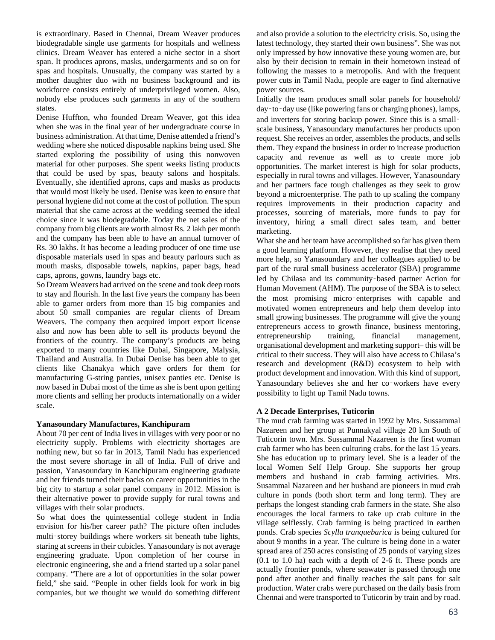is extraordinary. Based in Chennai, Dream Weaver produces biodegradable single use garments for hospitals and wellness clinics. Dream Weaver has entered a niche sector in a short span. It produces aprons, masks, undergarments and so on for spas and hospitals. Unusually, the company was started by a mother daughter duo with no business background and its workforce consists entirely of underprivileged women. Also, nobody else produces such garments in any of the southern states.

Denise Huffton, who founded Dream Weaver, got this idea when she was in the final year of her undergraduate course in business administration. At that time, Denise attended a friend's wedding where she noticed disposable napkins being used. She started exploring the possibility of using this nonwoven material for other purposes. She spent weeks listing products that could be used by spas, beauty salons and hospitals. Eventually, she identified aprons, caps and masks as products that would most likely be used. Denise was keen to ensure that personal hygiene did not come at the cost of pollution. The spun material that she came across at the wedding seemed the ideal choice since it was biodegradable. Today the net sales of the company from big clients are worth almost Rs. 2 lakh per month and the company has been able to have an annual turnover of Rs. 30 lakhs. It has become a leading producer of one time use disposable materials used in spas and beauty parlours such as mouth masks, disposable towels, napkins, paper bags, head caps, aprons, gowns, laundry bags etc.

So Dream Weavers had arrived on the scene and took deep roots to stay and flourish. In the last five years the company has been able to garner orders from more than 15 big companies and about 50 small companies are regular clients of Dream Weavers. The company then acquired import export license also and now has been able to sell its products beyond the frontiers of the country. The company's products are being exported to many countries like Dubai, Singapore, Malysia, Thailand and Australia. In Dubai Denise has been able to get clients like Chanakya which gave orders for them for manufacturing G-string panties, unisex panties etc. Denise is now based in Dubai most of the time as she is bent upon getting more clients and selling her products internationally on a wider scale.

## **Yanasoundary Manufactures, Kanchipuram**

About 70 per cent of India lives in villages with very poor or no electricity supply. Problems with electricity shortages are nothing new, but so far in 2013, Tamil Nadu has experienced the most severe shortage in all of India. Full of drive and passion, Yanasoundary in Kanchipuram engineering graduate and her friends turned their backs on career opportunities in the big city to startup a solar panel company in 2012. Mission is their alternative power to provide supply for rural towns and villages with their solar products.

So what does the quintessential college student in India envision for his/her career path? The picture often includes multi‑storey buildings where workers sit beneath tube lights, staring at screens in their cubicles. Yanasoundary is not average engineering graduate. Upon completion of her course in electronic engineering, she and a friend started up a solar panel company. "There are a lot of opportunities in the solar power field," she said. "People in other fields look for work in big companies, but we thought we would do something different and also provide a solution to the electricity crisis. So, using the latest technology, they started their own business". She was not only impressed by how innovative these young women are, but also by their decision to remain in their hometown instead of following the masses to a metropolis. And with the frequent power cuts in Tamil Nadu, people are eager to find alternative power sources.

Initially the team produces small solar panels for household/ day‑to‑day use (like powering fans or charging phones), lamps, and inverters for storing backup power. Since this is a small– scale business, Yanasoundary manufactures her products upon request. She receives an order, assembles the products, and sells them. They expand the business in order to increase production capacity and revenue as well as to create more job opportunities. The market interest is high for solar products, especially in rural towns and villages. However, Yanasoundary and her partners face tough challenges as they seek to grow beyond a microenterprise. The path to up scaling the company requires improvements in their production capacity and processes, sourcing of materials, more funds to pay for inventory, hiring a small direct sales team, and better marketing.

What she and her team have accomplished so far has given them a good learning platform. However, they realise that they need more help, so Yanasoundary and her colleagues applied to be part of the rural small business accelerator (SBA) programme led by Chilasa and its community‑based partner Action for Human Movement (AHM). The purpose of the SBA is to select the most promising micro‑enterprises with capable and motivated women entrepreneurs and help them develop into small growing businesses. The programme will give the young entrepreneurs access to growth finance, business mentoring, entrepreneurship training, financial management, organisational development and marketing support– this will be critical to their success. They will also have access to Chilasa's research and development (R&D) ecosystem to help with product development and innovation. With this kind of support, Yanasoundary believes she and her co-workers have every possibility to light up Tamil Nadu towns.

## **A 2 Decade Enterprises, Tuticorin**

The mud crab farming was started in 1992 by Mrs. Sussammal Nazareen and her group at Punnakyal village 20 km South of Tuticorin town. Mrs. Sussammal Nazareen is the first woman crab farmer who has been culturing crabs. for the last 15 years. She has education up to primary level. She is a leader of the local Women Self Help Group. She supports her group members and husband in crab farming activities. Mrs. Susammal Nazareen and her husband are pioneers in mud crab culture in ponds (both short term and long term). They are perhaps the longest standing crab farmers in the state. She also encourages the local farmers to take up crab culture in the village selflessly. Crab farming is being practiced in earthen ponds. Crab species *Scylla tranquebarica* is being cultured for about 9 months in a year. The culture is being done in a water spread area of 250 acres consisting of 25 ponds of varying sizes (0.1 to 1.0 ha) each with a depth of 2-6 ft. These ponds are actually frontier ponds, where seawater is passed through one pond after another and finally reaches the salt pans for salt production. Water crabs were purchased on the daily basis from Chennai and were transported to Tuticorin by train and by road.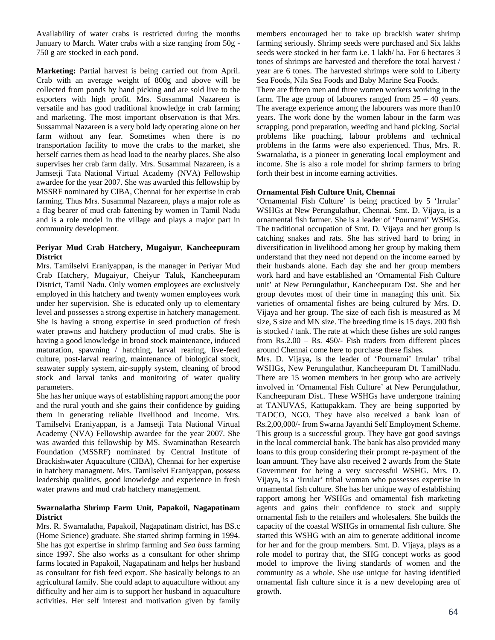Availability of water crabs is restricted during the months January to March. Water crabs with a size ranging from 50g - 750 g are stocked in each pond.

**Marketing:** Partial harvest is being carried out from April. Crab with an average weight of 800g and above will be collected from ponds by hand picking and are sold live to the exporters with high profit. Mrs. Sussammal Nazareen is versatile and has good traditional knowledge in crab farming and marketing. The most important observation is that Mrs. Sussammal Nazareen is a very bold lady operating alone on her farm without any fear. Sometimes when there is no transportation facility to move the crabs to the market, she herself carries them as head load to the nearby places. She also supervises her crab farm daily. Mrs. Susammal Nazareen, is a Jamsetji Tata National Virtual Academy (NVA) Fellowship awardee for the year 2007. She was awarded this fellowship by MSSRF nominated by CIBA, Chennai for her expertise in crab farming. Thus Mrs. Susammal Nazareen, plays a major role as a flag bearer of mud crab fattening by women in Tamil Nadu and is a role model in the village and plays a major part in community development.

## **Periyar Mud Crab Hatchery, Mugaiyur**, **Kancheepuram District**

Mrs. Tamilselvi Eraniyappan, is the manager in Periyar Mud Crab Hatchery, Mugaiyur, Cheiyur Taluk, Kancheepuram District, Tamil Nadu. Only women employees are exclusively employed in this hatchery and twenty women employees work under her supervision. She is educated only up to elementary level and possesses a strong expertise in hatchery management. She is having a strong expertise in seed production of fresh water prawns and hatchery production of mud crabs. She is having a good knowledge in brood stock maintenance, induced maturation, spawning / hatching, larval rearing, live-feed culture, post-larval rearing, maintenance of biological stock, seawater supply system, air-supply system, cleaning of brood stock and larval tanks and monitoring of water quality parameters.

She has her unique ways of establishing rapport among the poor and the rural youth and she gains their confidence by guiding them in generating reliable livelihood and income. Mrs. Tamilselvi Eraniyappan, is a Jamsetji Tata National Virtual Academy (NVA) Fellowship awardee for the year 2007. She was awarded this fellowship by MS. Swaminathan Research Foundation (MSSRF) nominated by Central Institute of Brackishwater Aquaculture (CIBA), Chennai for her expertise in hatchery managment. Mrs. Tamilselvi Eraniyappan, possess leadership qualities, good knowledge and experience in fresh water prawns and mud crab hatchery management.

## **Swarnalatha Shrimp Farm Unit, Papakoil, Nagapatinam District**

Mrs. R. Swarnalatha, Papakoil, Nagapatinam district, has BS.c (Home Science) graduate. She started shrimp farming in 1994. She has got expertise in shrimp farming and *Sea bass* farming since 1997. She also works as a consultant for other shrimp farms located in Papakoil, Nagapatinam and helps her husband as consultant for fish feed export. She basically belongs to an agricultural family. She could adapt to aquaculture without any difficulty and her aim is to support her husband in aquaculture activities. Her self interest and motivation given by family

members encouraged her to take up brackish water shrimp farming seriously. Shrimp seeds were purchased and Six lakhs seeds were stocked in her farm i.e. 1 lakh/ ha. For 6 hectares 3 tones of shrimps are harvested and therefore the total harvest / year are 6 tones. The harvested shrimps were sold to Liberty Sea Foods, Nila Sea Foods and Baby Marine Sea Foods.

There are fifteen men and three women workers working in the farm. The age group of labourers ranged from 25 – 40 years. The average experience among the labourers was more than10 years. The work done by the women labour in the farm was scrapping, pond preparation, weeding and hand picking. Social problems like poaching, labour problems and technical problems in the farms were also experienced. Thus, Mrs. R. Swarnalatha, is a pioneer in generating local employment and income. She is also a role model for shrimp farmers to bring forth their best in income earning activities.

## **Ornamental Fish Culture Unit, Chennai**

'Ornamental Fish Culture' is being practiced by 5 'Irrular' WSHGs at New Perungulathur, Chennai. Smt. D. Vijaya, is a ornamental fish farmer. She is a leader of 'Pournami' WSHGs. The traditional occupation of Smt. D. Vijaya and her group is catching snakes and rats. She has strived hard to bring in diversification in livelihood among her group by making them understand that they need not depend on the income earned by their husbands alone. Each day she and her group members work hard and have established an 'Ornamental Fish Culture unit' at New Perungulathur, Kancheepuram Dst. She and her group devotes most of their time in managing this unit. Six varieties of ornamental fishes are being cultured by Mrs. D. Vijaya and her group. The size of each fish is measured as M size, S size and MN size. The breeding time is 15 days. 200 fish is stocked / tank. The rate at which these fishes are sold ranges from Rs.2.00 – Rs. 450/- Fish traders from different places around Chennai come here to purchase these fishes.

Mrs. D. Vijaya**,** is the leader of 'Pournami' Irrular' tribal WSHGs, New Perungulathur, Kancheepuram Dt. TamilNadu. There are 15 women members in her group who are actively involved in 'Ornamental Fish Culture' at New Perungulathur, Kancheepuram Dist.. These WSHGs have undergone training at TANUVAS, Kattupakkam. They are being supported by TADCO, NGO. They have also received a bank loan of Rs.2,00,000/- from Swarna Jayanthi Self Employment Scheme. This group is a successful group. They have got good savings in the local commercial bank. The bank has also provided many loans to this group considering their prompt re-payment of the loan amount. They have also received 2 awards from the State Government for being a very successful WSHG. Mrs. D. Vijaya**,** is a 'Irrular' tribal woman who possesses expertise in ornamental fish culture. She has her unique way of establishing rapport among her WSHGs and ornamental fish marketing agents and gains their confidence to stock and supply ornamental fish to the retailers and wholesalers. She builds the capacity of the coastal WSHGs in ornamental fish culture. She started this WSHG with an aim to generate additional income for her and for the group members. Smt. D. Vijaya, plays as a role model to portray that, the SHG concept works as good model to improve the living standards of women and the community as a whole. She use unique for having identified ornamental fish culture since it is a new developing area of growth.